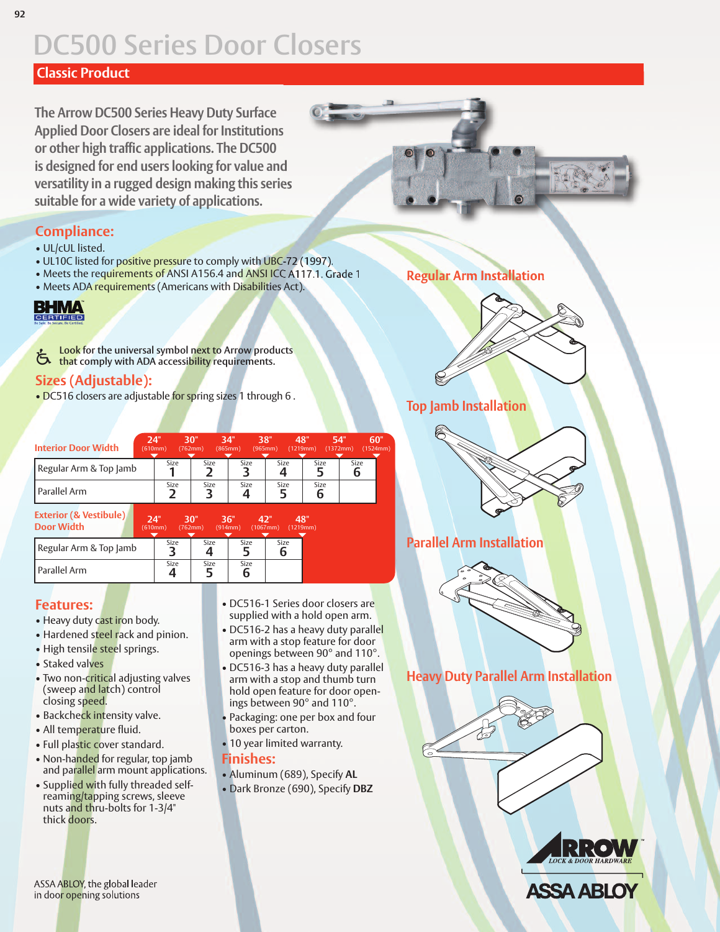### **Classic Product**

**The Arrow DC500 Series Heavy Duty Surface Applied Door Closers are ideal for Institutions or other high traffic applications. The DC500 is designed for end users looking for value and versatility in a rugged design making this series suitable for a wide variety of applications.**

#### **Compliance:**

- UL/cUL listed.
- UL10C listed for positive pressure to comply with UBC-72 (1997).
- Meets the requirements of ANSI A156.4 and ANSI ICC A117.1. Grade 1
- Meets ADA requirements (Americans with Disabilities Act).

# **BHMA**

**Look for the universal symbol next to Arrow products that** comply with ADA accessibility requirements.

### **Sizes (Adjustable):**

• DC516 closers are adjustable for spring sizes 1 through 6.

| <b>Interior Door Width</b>                             | 24" | (610mm) | 30"<br>(762mm) | 34"<br>(865mm) | 38"<br>48"<br>(965mm)     | (1219mm)  | 54"<br>(1372mm)  | 60"<br>(1524mm) |
|--------------------------------------------------------|-----|---------|----------------|----------------|---------------------------|-----------|------------------|-----------------|
| Regular Arm & Top Jamb                                 |     | Size    | Size           | Size           | Size                      | Size      | <b>Size</b><br>6 |                 |
| Parallel Arm                                           |     | Size    | Size           | Size           | Size                      | Size<br>b |                  |                 |
| <b>Exterior (&amp; Vestibule)</b><br><b>Door Width</b> | 24" | (610mm) | 30"<br>(762mm) | 36"<br>(914mm) | 42"<br>48"<br>$(1067$ mm) | (1219mm)  |                  |                 |

| Regular Arm & Top Jamb | Size | Size | Size | Size |
|------------------------|------|------|------|------|
| l Parallel Arm         | Size | Size | Size |      |

#### **Features:**

- Heavy duty cast iron body.
- Hardened steel rack and pinion.
- High tensile steel springs.
- Staked valves
- Two non-critical adjusting valves (sweep and latch) control closing speed.
- Backcheck intensity valve.
- All temperature fluid.
- Full plastic cover standard.
- Non-handed for regular, top jamb and parallel arm mount applications.
- Supplied with fully threaded selfreaming/tapping screws, sleeve nuts and thru-bolts for 1-3/4" thick doors.
- DC516-1 Series door closers are supplied with a hold open arm.
- DC516-2 has a heavy duty parallel arm with a stop feature for door openings between 90° and 110°.
- DC516-3 has a heavy duty parallel arm with a stop and thumb turn hold open feature for door openings between 90° and 110°.
- Packaging: one per box and four boxes per carton.
- 10 year limited warranty.

#### **Finishes:**

• Aluminum (689), Specify **AL** • Dark Bronze (690), Specify **DBZ**

#### **Regular Arm Installation**



#### **Top Jamb Installation**



#### **Parallel Arm Installation**



**Heavy Duty Parallel Arm Installation**







#### ASSA ABLOY, the global leader in door opening solutions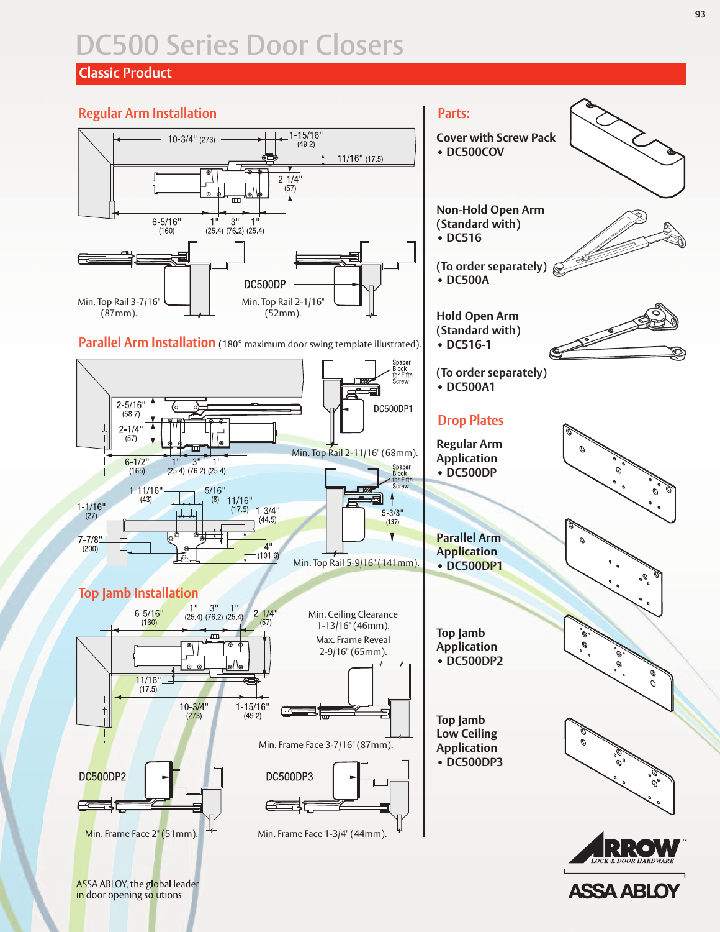### **Classic Product**

#### **Regular Arm Installation**





**Cover with Screw Pack**

**Non-Hold Open Arm (Standard with) • DC516**

**(To order separately)**

**ASSA ABLO** 

**• DC500COV**

**Parts:**

**• DC500A**

**Hold Open Arm**

ASSA ABLOY, the global leader in door opening solutions

#### **93**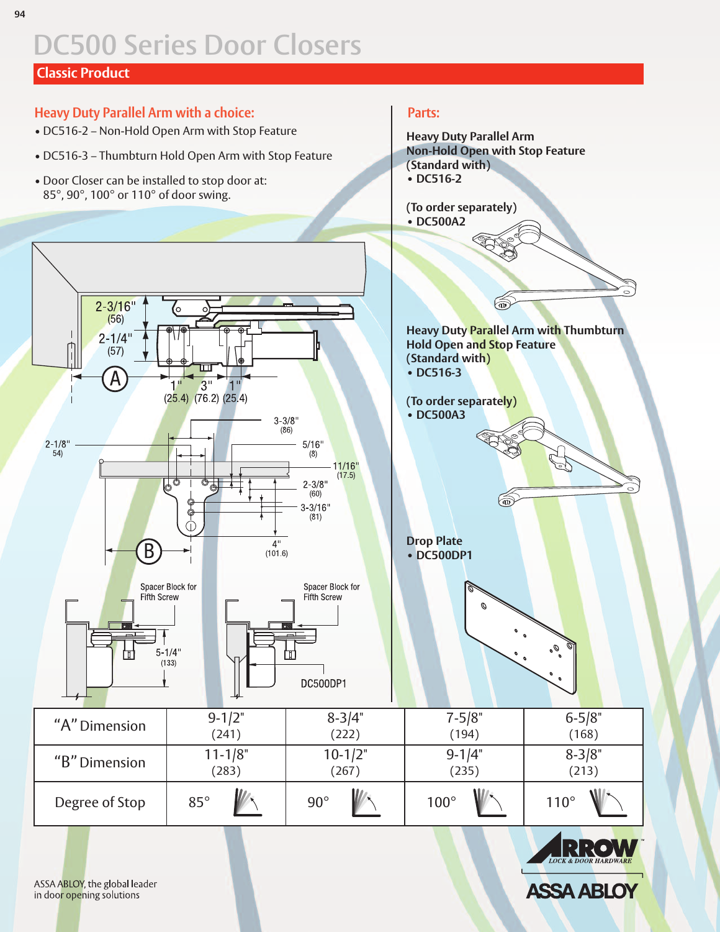# **Classic Product**

# **Heavy Duty Parallel Arm with a choice:**

- DC516-2 Non-Hold Open Arm with Stop Feature
- DC516-3 Thumbturn Hold Open Arm with Stop Feature
- Door Closer can be installed to stop door at: 85°, 90°, 100° or 110° of door swing.

### **Parts:**

**Heavy Duty Parallel Arm Non-Hold Open with Stop Feature (Standard with) • DC516-2**

#### **(To order separately) • DC500A2**





**ASSA ABLOY** 

ASSA ABLOY, the global leader in door opening solutions